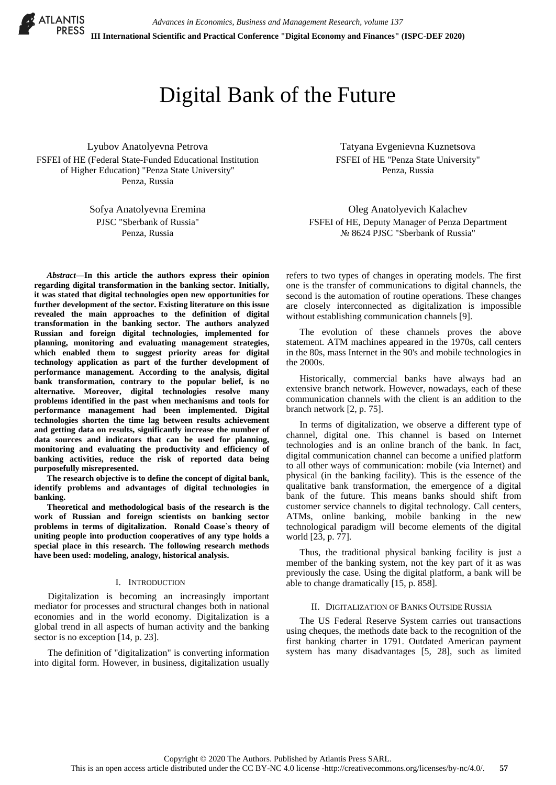

# Digital Bank of the Future

Lyubov Anatolyevna Petrova FSFEI of HE (Federal State-Funded Educational Institution of Higher Education) "Penza State University" Penza, Russia

> Sofya Anatolyevna Eremina PJSC "Sberbank of Russia" Penza, Russia

*Abstract***—In this article the authors express their opinion regarding digital transformation in the banking sector. Initially, it was stated that digital technologies open new opportunities for further development of the sector. Existing literature on this issue revealed the main approaches to the definition of digital transformation in the banking sector. The authors analyzed Russian and foreign digital technologies, implemented for planning, monitoring and evaluating management strategies, which enabled them to suggest priority areas for digital technology application as part of the further development of performance management. According to the analysis, digital bank transformation, contrary to the popular belief, is no alternative. Moreover, digital technologies resolve many problems identified in the past when mechanisms and tools for performance management had been implemented. Digital technologies shorten the time lag between results achievement and getting data on results, significantly increase the number of data sources and indicators that can be used for planning, monitoring and evaluating the productivity and efficiency of banking activities, reduce the risk of reported data being purposefully misrepresented.**

**The research objective is to define the concept of digital bank, identify problems and advantages of digital technologies in banking.**

**Theoretical and methodological basis of the research is the work of Russian and foreign scientists on banking sector problems in terms of digitalization. Ronald Coase`s theory of uniting people into production cooperatives of any type holds a special place in this research. The following research methods have been used: modeling, analogy, historical analysis.**

#### I. INTRODUCTION

Digitalization is becoming an increasingly important mediator for processes and structural changes both in national economies and in the world economy. Digitalization is a global trend in all aspects of human activity and the banking sector is no exception [14, p. 23].

The definition of "digitalization" is converting information into digital form. However, in business, digitalization usually

Tatyana Evgenievna Kuznetsova FSFEI of HE "Penza State University" Penza, Russia

Oleg Anatolyevich Kalachev FSFEI of HE, Deputy Manager of Penza Department № 8624 PJSC "Sberbank of Russia"

refers to two types of changes in operating models. The first one is the transfer of communications to digital channels, the second is the automation of routine operations. These changes are closely interconnected as digitalization is impossible without establishing communication channels [9].

The evolution of these channels proves the above statement. ATM machines appeared in the 1970s, call centers in the 80s, mass Internet in the 90's and mobile technologies in the 2000s.

Historically, commercial banks have always had an extensive branch network. However, nowadays, each of these communication channels with the client is an addition to the branch network [2, p. 75].

In terms of digitalization, we observe a different type of channel, digital one. This channel is based on Internet technologies and is an online branch of the bank. In fact, digital communication channel can become a unified platform to all other ways of communication: mobile (via Internet) and physical (in the banking facility). This is the essence of the qualitative bank transformation, the emergence of a digital bank of the future. This means banks should shift from customer service channels to digital technology. Call centers, ATMs, online banking, mobile banking in the new technological paradigm will become elements of the digital world [23, p. 77].

Thus, the traditional physical banking facility is just a member of the banking system, not the key part of it as was previously the case. Using the digital platform, a bank will be able to change dramatically [15, p. 858].

#### II. DIGITALIZATION OF BANKS OUTSIDE RUSSIA

The US Federal Reserve System carries out transactions using cheques, the methods date back to the recognition of the first banking charter in 1791. Outdated American payment system has many disadvantages [5, 28], such as limited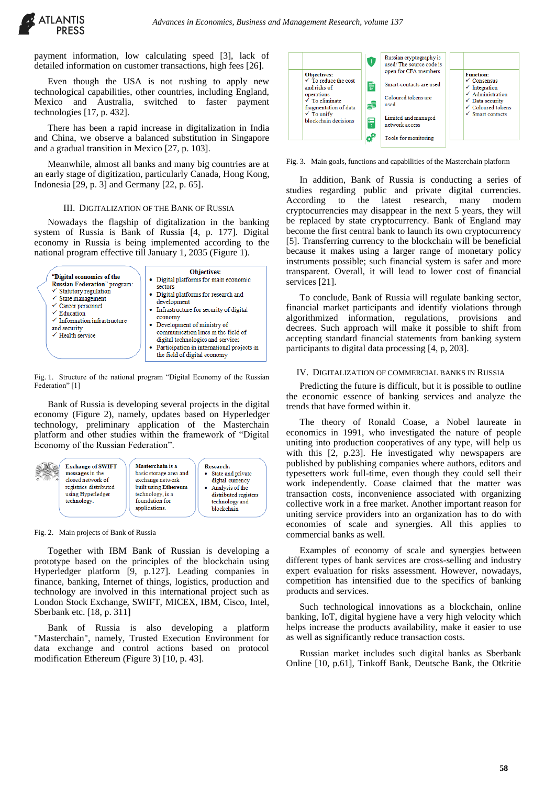

payment information, low calculating speed [3], lack of detailed information on customer transactions, high fees [26].

Even though the USA is not rushing to apply new technological capabilities, other countries, including England, Mexico and Australia, switched to faster payment technologies [17, p. 432].

There has been a rapid increase in digitalization in India and China, we observe a balanced substitution in Singapore and a gradual transition in Mexico [27, p. 103].

Meanwhile, almost all banks and many big countries are at an early stage of digitization, particularly Canada, Hong Kong, Indonesia [29, p. 3] and Germany [22, p. 65].

#### III. DIGITALIZATION OF THE BANK OF RUSSIA

Nowadays the flagship of digitalization in the banking system of Russia is Bank of Russia [4, p. 177]. Digital economy in Russia is being implemented according to the national program effective till January 1, 2035 (Figure 1).



Fig. 1. Structure of the national program "Digital Economy of the Russian Federation" [1]

Bank of Russia is developing several projects in the digital economy (Figure 2), namely, updates based on Hyperledger technology, preliminary application of the Masterchain platform and other studies within the framework of "Digital Economy of the Russian Federation".



Fig. 2. Main projects of Bank of Russia

Together with IBM Bank of Russian is developing a prototype based on the principles of the blockchain using Hyperledger platform [9, p.127]. Leading companies in finance, banking, Internet of things, logistics, production and technology are involved in this international project such as London Stock Exchange, SWIFT, MICEX, IBM, Cisco, Intel, Sberbank etc. [18, p. 311]

Bank of Russia is also developing a platform "Masterchain", namely, Trusted Execution Environment for data exchange and control actions based on protocol modification Ethereum (Figure 3) [10, p. 43].



Fig. 3. Main goals, functions and capabilities of the Masterchain platform

In addition, Bank of Russia is conducting a series of studies regarding public and private digital currencies. According to the latest research, many modern cryptocurrencies may disappear in the next 5 years, they will be replaced by state cryptocurrency. Bank of England may become the first central bank to launch its own cryptocurrency [5]. Transferring currency to the blockchain will be beneficial because it makes using a larger range of monetary policy instruments possible; such financial system is safer and more transparent. Overall, it will lead to lower cost of financial services [21].

To conclude, Bank of Russia will regulate banking sector, financial market participants and identify violations through algorithmized information, regulations, provisions and decrees. Such approach will make it possible to shift from accepting standard financial statements from banking system participants to digital data processing [4, p, 203].

#### IV. DIGITALIZATION OF COMMERCIAL BANKS IN RUSSIA

Predicting the future is difficult, but it is possible to outline the economic essence of banking services and analyze the trends that have formed within it.

The theory of Ronald Coase, a Nobel laureate in economics in 1991, who investigated the nature of people uniting into production cooperatives of any type, will help us with this [2, p.23]. He investigated why newspapers are published by publishing companies where authors, editors and typesetters work full-time, even though they could sell their work independently. Coase claimed that the matter was transaction costs, inconvenience associated with organizing collective work in a free market. Another important reason for uniting service providers into an organization has to do with economies of scale and synergies. All this applies to commercial banks as well.

Examples of economy of scale and synergies between different types of bank services are cross-selling and industry expert evaluation for risks assessment. However, nowadays, competition has intensified due to the specifics of banking products and services.

Such technological innovations as a blockchain, online banking, IoT, digital hygiene have a very high velocity which helps increase the products availability, make it easier to use as well as significantly reduce transaction costs.

Russian market includes such digital banks as Sberbank Online [10, p.61], Tinkoff Bank, Deutsche Bank, the Otkritie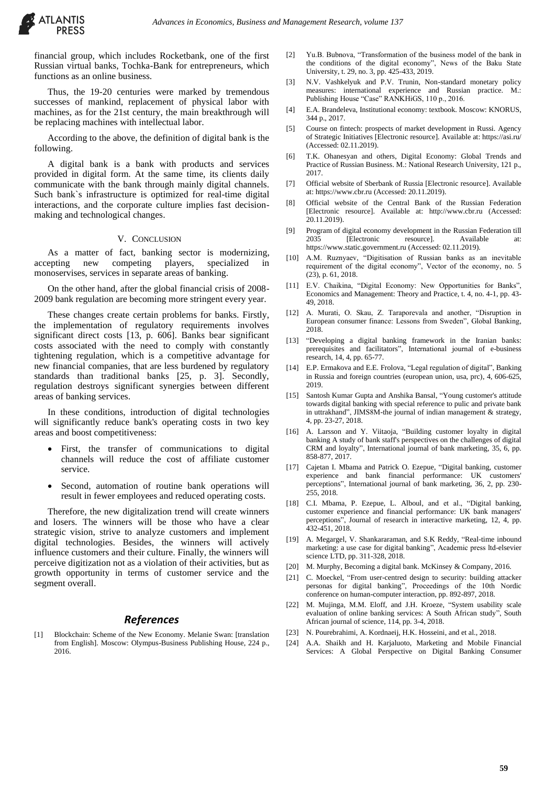financial group, which includes Rocketbank, one of the first Russian virtual banks, Tochka-Bank for entrepreneurs, which functions as an online business.

**ATLANTIS** 

Thus, the 19-20 centuries were marked by tremendous successes of mankind, replacement of physical labor with machines, as for the 21st century, the main breakthrough will be replacing machines with intellectual labor.

According to the above, the definition of digital bank is the following.

A digital bank is a bank with products and services provided in digital form. At the same time, its clients daily communicate with the bank through mainly digital channels. Such bank`s infrastructure is optimized for real-time digital interactions, and the corporate culture implies fast decisionmaking and technological changes.

### V. CONCLUSION

As a matter of fact, banking sector is modernizing, accepting new competing players, specialized in monoservises, services in separate areas of banking.

On the other hand, after the global financial crisis of 2008- 2009 bank regulation are becoming more stringent every year.

These changes create certain problems for banks. Firstly, the implementation of regulatory requirements involves significant direct costs [13, p. 606]. Banks bear significant costs associated with the need to comply with constantly tightening regulation, which is a competitive advantage for new financial companies, that are less burdened by regulatory standards than traditional banks [25, p. 3]. Secondly, regulation destroys significant synergies between different areas of banking services.

In these conditions, introduction of digital technologies will significantly reduce bank's operating costs in two key areas and boost competitiveness:

- First, the transfer of communications to digital channels will reduce the cost of affiliate customer service.
- Second, automation of routine bank operations will result in fewer employees and reduced operating costs.

Therefore, the new digitalization trend will create winners and losers. The winners will be those who have a clear strategic vision, strive to analyze customers and implement digital technologies. Besides, the winners will actively influence customers and their culture. Finally, the winners will perceive digitization not as a violation of their activities, but as growth opportunity in terms of customer service and the segment overall.

## *References*

[1] Blockchain: Scheme of the New Economy. Melanie Swan: [translation from English]. Moscow: Olympus-Business Publishing House, 224 p., 2016.

- [2] Yu.B. Bubnova, "Transformation of the business model of the bank in the conditions of the digital economy", News of the Baku State University, t. 29, no. 3, pp. 425-433, 2019.
- [3] N.V. Vashkelyuk and P.V. Trunin, Non-standard monetary policy measures: international experience and Russian practice. M.: Publishing House "Case" RANKHiGS, 110 p., 2016.
- [4] E.A. Brandeleva, Institutional economy: textbook. Moscow: KNORUS, 344 p., 2017.
- [5] Course on fintech: prospects of market development in Russi. Agency of Strategic Initiatives [Electronic resource]. Available at: https://asi.ru/ (Accessed: 02.11.2019).
- [6] T.K. Ohanesyan and others, Digital Economy: Global Trends and Practice of Russian Business. M.: National Research University, 121 p., 2017.
- [7] Official website of Sberbank of Russia [Electronic resource]. Available at: https://www.cbr.ru (Accessed: 20.11.2019).
- [8] Official website of the Central Bank of the Russian Federation [Electronic resource]. Available at: http://www.cbr.ru (Accessed: 20.11.2019).
- [9] Program of digital economy development in the Russian Federation till [Electronic resource]. Available at: https://www.static.government.ru (Accessed: 02.11.2019).
- [10] A.M. Ruznyaev, "Digitisation of Russian banks as an inevitable requirement of the digital economy", Vector of the economy, no. 5 (23), p. 61, 2018.
- [11] E.V. Chaikina, "Digital Economy: New Opportunities for Banks", Economics and Management: Theory and Practice, t. 4, no. 4-1, pp. 43- 49, 2018.
- [12] A. Murati, O. Skau, Z. Taraporevala and another, "Disruption in European consumer finance: Lessons from Sweden", Global Banking, 2018.
- [13] ["Developing a digital banking framework in the Iranian banks:](http://apps.webofknowledge.com/full_record.do?product=WOS&search_mode=GeneralSearch&qid=7&SID=F1aVXGVv6w33jbjSIuV&page=1&doc=9)  [prerequisites and facilitators"](http://apps.webofknowledge.com/full_record.do?product=WOS&search_mode=GeneralSearch&qid=7&SID=F1aVXGVv6w33jbjSIuV&page=1&doc=9), International journal of e-business research, 14, 4, pp. 65-77.
- [14] E.P[. Ermakova and E](http://apps.webofknowledge.com/OneClickSearch.do?product=WOS&search_mode=OneClickSearch&excludeEventConfig=ExcludeIfFromFullRecPage&colName=WOS&SID=F1aVXGVv6w33jbjSIuV&field=AU&value=Ermakova,%20E.%20P.).E[. Frolova,](http://apps.webofknowledge.com/OneClickSearch.do?product=WOS&search_mode=OneClickSearch&excludeEventConfig=ExcludeIfFromFullRecPage&colName=WOS&SID=F1aVXGVv6w33jbjSIuV&field=AU&value=Frolova,%20E.%20E.) ["Legal regulation of digital", Banking](http://apps.webofknowledge.com/full_record.do?product=WOS&search_mode=GeneralSearch&qid=7&SID=F1aVXGVv6w33jbjSIuV&page=1&doc=3)  [in Russia and foreign countries \(european union, usa, prc\),](http://apps.webofknowledge.com/full_record.do?product=WOS&search_mode=GeneralSearch&qid=7&SID=F1aVXGVv6w33jbjSIuV&page=1&doc=3) 4, 606-625, 2019.
- [15] Santosh Kuma[r Gupta a](http://apps.webofknowledge.com/OutboundService.do?SID=F1aVXGVv6w33jbjSIuV&mode=rrcAuthorRecordService&action=go&product=WOS&daisIds=1700216)nd Anshika [Bansal,](http://apps.webofknowledge.com/OutboundService.do?SID=F1aVXGVv6w33jbjSIuV&mode=rrcAuthorRecordService&action=go&product=WOS&daisIds=31590868) ["Young customer's attitude](http://apps.webofknowledge.com/full_record.do?product=WOS&search_mode=GeneralSearch&qid=7&SID=F1aVXGVv6w33jbjSIuV&page=1&doc=8)  [towards digital banking with special reference to pulic and private bank](http://apps.webofknowledge.com/full_record.do?product=WOS&search_mode=GeneralSearch&qid=7&SID=F1aVXGVv6w33jbjSIuV&page=1&doc=8)  [in uttrakhand"](http://apps.webofknowledge.com/full_record.do?product=WOS&search_mode=GeneralSearch&qid=7&SID=F1aVXGVv6w33jbjSIuV&page=1&doc=8), JIMS8M-the journal of indian management & strategy, 4, pp. 23-27, 2018.
- [16] A. [Larsson a](http://apps.webofknowledge.com/OutboundService.do?SID=F1aVXGVv6w33jbjSIuV&mode=rrcAuthorRecordService&action=go&product=WOS&daisIds=7697636)nd Y. [Viitaoja,](http://apps.webofknowledge.com/OutboundService.do?SID=F1aVXGVv6w33jbjSIuV&mode=rrcAuthorRecordService&action=go&product=WOS&daisIds=24603610) ["Building customer loyalty in digital](http://apps.webofknowledge.com/full_record.do?product=WOS&search_mode=GeneralSearch&qid=7&SID=F1aVXGVv6w33jbjSIuV&page=3&doc=22)  [banking A study of bank staff's perspectives on the challenges of digital](http://apps.webofknowledge.com/full_record.do?product=WOS&search_mode=GeneralSearch&qid=7&SID=F1aVXGVv6w33jbjSIuV&page=3&doc=22)  [CRM and loyalty"](http://apps.webofknowledge.com/full_record.do?product=WOS&search_mode=GeneralSearch&qid=7&SID=F1aVXGVv6w33jbjSIuV&page=3&doc=22), [International journal of bank marketing, 3](javascript:;)5, 6, pp. 858-877, 2017.
- [17] Cajetan I. [Mbama](http://apps.webofknowledge.com/OutboundService.do?SID=F1aVXGVv6w33jbjSIuV&mode=rrcAuthorRecordService&action=go&product=WOS&daisIds=20715840) and Patrick O. [Ezepue,](http://apps.webofknowledge.com/OutboundService.do?SID=F1aVXGVv6w33jbjSIuV&mode=rrcAuthorRecordService&action=go&product=WOS&daisIds=5769236) ["Digital banking, customer](http://apps.webofknowledge.com/full_record.do?product=WOS&search_mode=GeneralSearch&qid=7&SID=F1aVXGVv6w33jbjSIuV&page=2&doc=17)  [experience and bank financial performance: UK customers'](http://apps.webofknowledge.com/full_record.do?product=WOS&search_mode=GeneralSearch&qid=7&SID=F1aVXGVv6w33jbjSIuV&page=2&doc=17)  [perceptions"](http://apps.webofknowledge.com/full_record.do?product=WOS&search_mode=GeneralSearch&qid=7&SID=F1aVXGVv6w33jbjSIuV&page=2&doc=17), [International journal of bank marketing, 3](javascript:;)6, 2, pp. 230- 255, 2018.
- [18] [C.I.](http://apps.webofknowledge.com/OutboundService.do?SID=F1aVXGVv6w33jbjSIuV&mode=rrcAuthorRecordService&action=go&product=WOS&daisIds=20715840) Mbama, P. [Ezepue, L](http://apps.webofknowledge.com/OutboundService.do?SID=F1aVXGVv6w33jbjSIuV&mode=rrcAuthorRecordService&action=go&product=WOS&daisIds=5769236). [Alboul, a](http://apps.webofknowledge.com/OutboundService.do?SID=F1aVXGVv6w33jbjSIuV&mode=rrcAuthorRecordService&action=go&product=WOS&daisIds=1812216)nd et al., ["Digital banking,](http://apps.webofknowledge.com/full_record.do?product=WOS&search_mode=GeneralSearch&qid=7&SID=F1aVXGVv6w33jbjSIuV&page=2&doc=16)  [customer experience and financial performance: UK bank managers'](http://apps.webofknowledge.com/full_record.do?product=WOS&search_mode=GeneralSearch&qid=7&SID=F1aVXGVv6w33jbjSIuV&page=2&doc=16)  [perceptions"](http://apps.webofknowledge.com/full_record.do?product=WOS&search_mode=GeneralSearch&qid=7&SID=F1aVXGVv6w33jbjSIuV&page=2&doc=16), [Journal of research in interactive marketing, 1](javascript:;)2, 4, pp. 432-451, 2018.
- [19] A. [Megargel, V](http://apps.webofknowledge.com/OutboundService.do?SID=F1aVXGVv6w33jbjSIuV&mode=rrcAuthorRecordService&action=go&product=WOS&daisIds=13988247)[. Shankararaman, and S](http://apps.webofknowledge.com/OutboundService.do?SID=F1aVXGVv6w33jbjSIuV&mode=rrcAuthorRecordService&action=go&product=WOS&daisIds=1038581).K [Reddy,](http://apps.webofknowledge.com/OutboundService.do?SID=F1aVXGVv6w33jbjSIuV&mode=rrcAuthorRecordService&action=go&product=WOS&daisIds=1646619) "Real-time inbound [marketing: a use case for digital banking"](http://apps.webofknowledge.com/full_record.do?product=WOS&search_mode=GeneralSearch&qid=7&SID=F1aVXGVv6w33jbjSIuV&page=2&doc=18), Academic press ltd-elsevier science LTD, pp. 311-328, 2018.
- [20] M. Murphy, Becoming a digital bank. McKinsey & Company, 2016.
- [21] C. [Moeckel,](http://apps.webofknowledge.com/OutboundService.do?SID=F1aVXGVv6w33jbjSIuV&mode=rrcAuthorRecordService&action=go&product=WOS&daisIds=28885783) ["From user-centred design to security: building attacker](http://apps.webofknowledge.com/full_record.do?product=WOS&search_mode=GeneralSearch&qid=7&SID=F1aVXGVv6w33jbjSIuV&page=2&doc=14)  [personas for digital banking"](http://apps.webofknowledge.com/full_record.do?product=WOS&search_mode=GeneralSearch&qid=7&SID=F1aVXGVv6w33jbjSIuV&page=2&doc=14), Proceedings of the 10th Nordic conference on human-computer interaction, pp. 892-897, 2018.
- [22] M. [Mujinga, M](http://apps.webofknowledge.com/OutboundService.do?SID=F1aVXGVv6w33jbjSIuV&mode=rrcAuthorRecordService&action=go&product=WOS&daisIds=9878253).M. [Eloff, a](http://apps.webofknowledge.com/OutboundService.do?SID=F1aVXGVv6w33jbjSIuV&mode=rrcAuthorRecordService&action=go&product=WOS&daisIds=1672871)nd J.H. [Kroeze,](http://apps.webofknowledge.com/OutboundService.do?SID=F1aVXGVv6w33jbjSIuV&mode=rrcAuthorRecordService&action=go&product=WOS&daisIds=1524017) "System usability scale [evaluation of online banking services: A South African study"](http://apps.webofknowledge.com/full_record.do?product=WOS&search_mode=GeneralSearch&qid=7&SID=F1aVXGVv6w33jbjSIuV&page=1&doc=10), [South](javascript:;)  [African journal of science,](javascript:;) 114, pp. 3-4, 2018.
- [23] N. [Pourebrahimi, A](http://apps.webofknowledge.com/OutboundService.do?SID=F1aVXGVv6w33jbjSIuV&mode=rrcAuthorRecordService&action=go&product=WOS&daisIds=29555701)[. Kordnaeij, H](http://apps.webofknowledge.com/OutboundService.do?SID=F1aVXGVv6w33jbjSIuV&mode=rrcAuthorRecordService&action=go&product=WOS&daisIds=9831015).K[. Hosseini, a](http://apps.webofknowledge.com/OutboundService.do?SID=F1aVXGVv6w33jbjSIuV&mode=rrcAuthorRecordService&action=go&product=WOS&daisIds=222542)nd et al., 2018.
- [24] A.A. Shaikh and H. Karjaluoto, [Marketing and Mobile Financial](http://apps.webofknowledge.com/full_record.do?product=WOS&search_mode=GeneralSearch&qid=7&SID=F1aVXGVv6w33jbjSIuV&page=1&doc=4)  [Services: A Global Perspective on Digital Banking Consumer](http://apps.webofknowledge.com/full_record.do?product=WOS&search_mode=GeneralSearch&qid=7&SID=F1aVXGVv6w33jbjSIuV&page=1&doc=4)